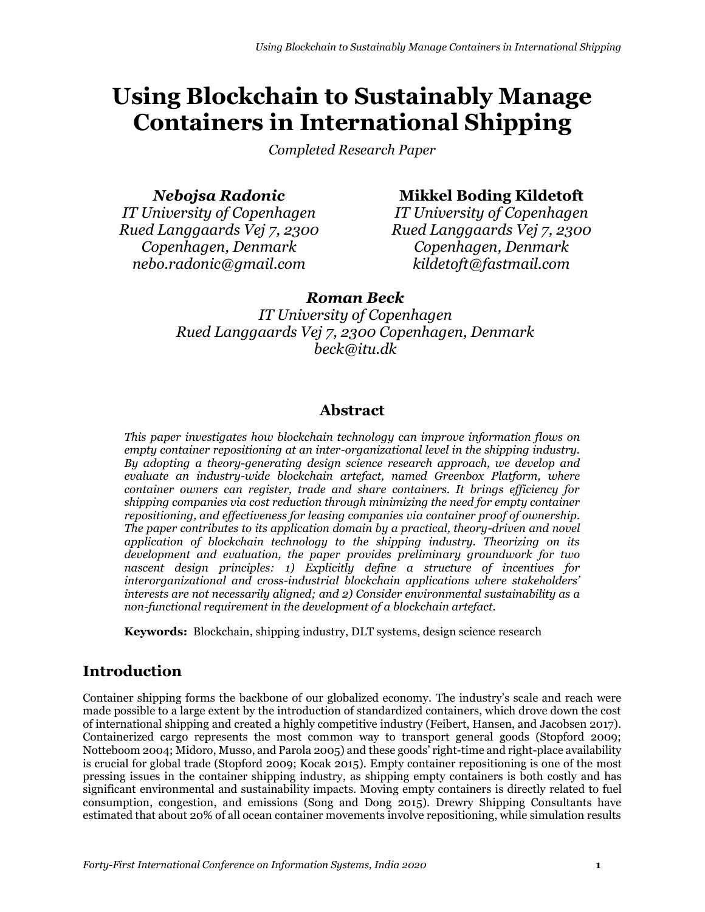# **Using Blockchain to Sustainably Manage Containers in International Shipping**

*Completed Research Paper*

*Nebojsa Radonic*

*IT University of Copenhagen Rued Langgaards Vej 7, 2300 Copenhagen, Denmark nebo.radonic@gmail.com*

**Mikkel Boding Kildetoft**

*IT University of Copenhagen Rued Langgaards Vej 7, 2300 Copenhagen, Denmark kildetoft@fastmail.com*

# *Roman Beck*

*IT University of Copenhagen Rued Langgaards Vej 7, 2300 Copenhagen, Denmark beck@itu.dk*

# **Abstract**

*This paper investigates how blockchain technology can improve information flows on empty container repositioning at an inter-organizational level in the shipping industry. By adopting a theory-generating design science research approach, we develop and evaluate an industry-wide blockchain artefact, named Greenbox Platform, where container owners can register, trade and share containers. It brings efficiency for shipping companies via cost reduction through minimizing the need for empty container repositioning, and effectiveness for leasing companies via container proof of ownership. The paper contributes to its application domain by a practical, theory-driven and novel application of blockchain technology to the shipping industry. Theorizing on its development and evaluation, the paper provides preliminary groundwork for two nascent design principles: 1) Explicitly define a structure of incentives for interorganizational and cross-industrial blockchain applications where stakeholders' interests are not necessarily aligned; and 2) Consider environmental sustainability as a non-functional requirement in the development of a blockchain artefact.*

**Keywords:** Blockchain, shipping industry, DLT systems, design science research

# **Introduction**

Container shipping forms the backbone of our globalized economy. The industry's scale and reach were made possible to a large extent by the introduction of standardized containers, which drove down the cost of international shipping and created a highly competitive industry (Feibert, Hansen, and Jacobsen 2017). Containerized cargo represents the most common way to transport general goods (Stopford 2009; Notteboom 2004; Midoro, Musso, and Parola 2005) and these goods' right-time and right-place availability is crucial for global trade (Stopford 2009; Kocak 2015). Empty container repositioning is one of the most pressing issues in the container shipping industry, as shipping empty containers is both costly and has significant environmental and sustainability impacts. Moving empty containers is directly related to fuel consumption, congestion, and emissions (Song and Dong 2015). Drewry Shipping Consultants have estimated that about 20% of all ocean container movements involve repositioning, while simulation results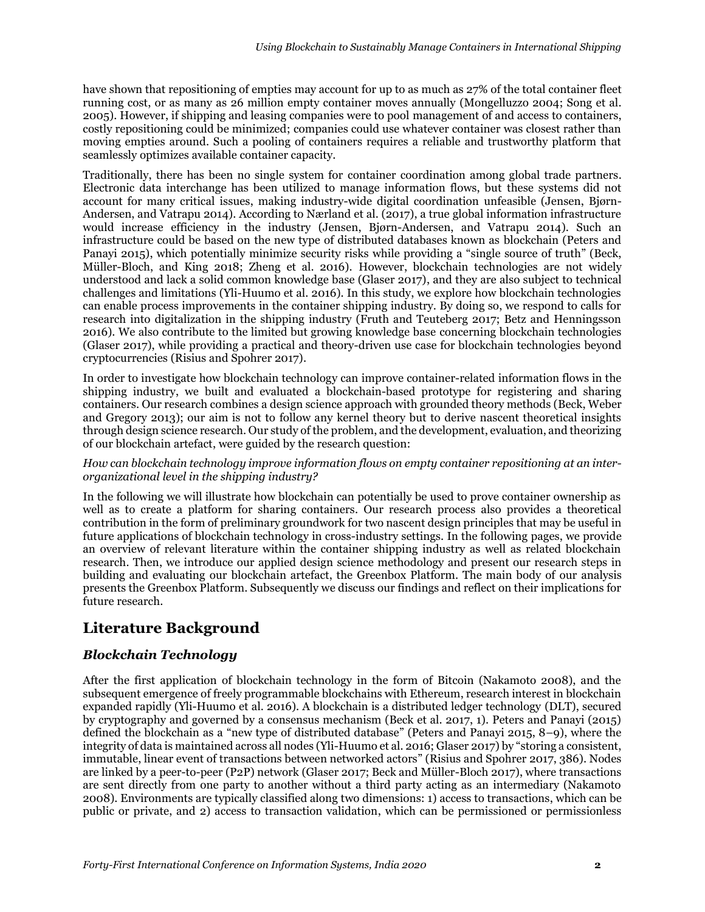have shown that repositioning of empties may account for up to as much as 27% of the total container fleet running cost, or as many as 26 million empty container moves annually (Mongelluzzo 2004; Song et al. 2005). However, if shipping and leasing companies were to pool management of and access to containers, costly repositioning could be minimized; companies could use whatever container was closest rather than moving empties around. Such a pooling of containers requires a reliable and trustworthy platform that seamlessly optimizes available container capacity.

Traditionally, there has been no single system for container coordination among global trade partners. Electronic data interchange has been utilized to manage information flows, but these systems did not account for many critical issues, making industry-wide digital coordination unfeasible (Jensen, Bjørn-Andersen, and Vatrapu 2014). According to Nærland et al. (2017), a true global information infrastructure would increase efficiency in the industry (Jensen, Bjørn-Andersen, and Vatrapu 2014). Such an infrastructure could be based on the new type of distributed databases known as blockchain (Peters and Panayi 2015), which potentially minimize security risks while providing a "single source of truth" (Beck, Müller-Bloch, and King 2018; Zheng et al. 2016). However, blockchain technologies are not widely understood and lack a solid common knowledge base (Glaser 2017), and they are also subject to technical challenges and limitations (Yli-Huumo et al. 2016). In this study, we explore how blockchain technologies can enable process improvements in the container shipping industry. By doing so, we respond to calls for research into digitalization in the shipping industry (Fruth and Teuteberg 2017; Betz and Henningsson 2016). We also contribute to the limited but growing knowledge base concerning blockchain technologies (Glaser 2017), while providing a practical and theory-driven use case for blockchain technologies beyond cryptocurrencies (Risius and Spohrer 2017).

In order to investigate how blockchain technology can improve container-related information flows in the shipping industry, we built and evaluated a blockchain-based prototype for registering and sharing containers. Our research combines a design science approach with grounded theory methods (Beck, Weber and Gregory 2013); our aim is not to follow any kernel theory but to derive nascent theoretical insights through design science research. Our study of the problem, and the development, evaluation, and theorizing of our blockchain artefact, were guided by the research question:

#### *How can blockchain technology improve information flows on empty container repositioning at an interorganizational level in the shipping industry?*

In the following we will illustrate how blockchain can potentially be used to prove container ownership as well as to create a platform for sharing containers. Our research process also provides a theoretical contribution in the form of preliminary groundwork for two nascent design principles that may be useful in future applications of blockchain technology in cross-industry settings. In the following pages, we provide an overview of relevant literature within the container shipping industry as well as related blockchain research. Then, we introduce our applied design science methodology and present our research steps in building and evaluating our blockchain artefact, the Greenbox Platform. The main body of our analysis presents the Greenbox Platform. Subsequently we discuss our findings and reflect on their implications for future research.

# **Literature Background**

## *Blockchain Technology*

After the first application of blockchain technology in the form of Bitcoin (Nakamoto 2008), and the subsequent emergence of freely programmable blockchains with Ethereum, research interest in blockchain expanded rapidly (Yli-Huumo et al. 2016). A blockchain is a distributed ledger technology (DLT), secured by cryptography and governed by a consensus mechanism (Beck et al. 2017, 1). Peters and Panayi (2015) defined the blockchain as a "new type of distributed database" (Peters and Panayi 2015, 8–9), where the integrity of data is maintained across all nodes (Yli-Huumo et al. 2016; Glaser 2017) by "storing a consistent, immutable, linear event of transactions between networked actors" (Risius and Spohrer 2017, 386). Nodes are linked by a peer-to-peer (P2P) network (Glaser 2017; Beck and Müller-Bloch 2017), where transactions are sent directly from one party to another without a third party acting as an intermediary (Nakamoto 2008). Environments are typically classified along two dimensions: 1) access to transactions, which can be public or private, and 2) access to transaction validation, which can be permissioned or permissionless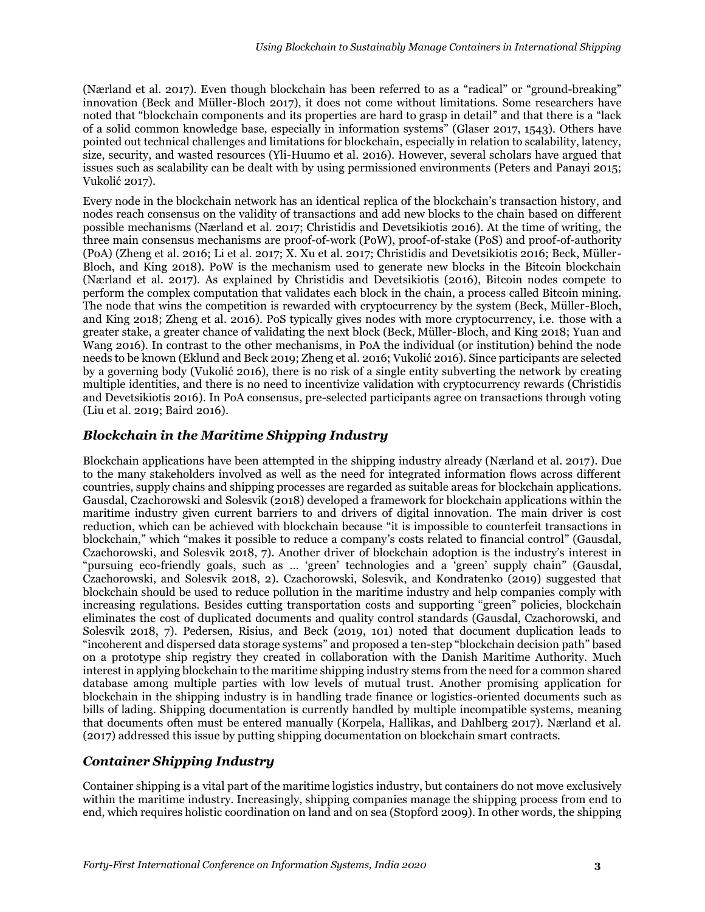(Nærland et al. 2017). Even though blockchain has been referred to as a "radical" or "ground-breaking" innovation (Beck and Müller-Bloch 2017), it does not come without limitations. Some researchers have noted that "blockchain components and its properties are hard to grasp in detail" and that there is a "lack of a solid common knowledge base, especially in information systems" (Glaser 2017, 1543). Others have pointed out technical challenges and limitations for blockchain, especially in relation to scalability, latency, size, security, and wasted resources (Yli-Huumo et al. 2016). However, several scholars have argued that issues such as scalability can be dealt with by using permissioned environments (Peters and Panayi 2015; Vukolić 2017).

Every node in the blockchain network has an identical replica of the blockchain's transaction history, and nodes reach consensus on the validity of transactions and add new blocks to the chain based on different possible mechanisms (Nærland et al. 2017; Christidis and Devetsikiotis 2016). At the time of writing, the three main consensus mechanisms are proof-of-work (PoW), proof-of-stake (PoS) and proof-of-authority (PoA) (Zheng et al. 2016; Li et al. 2017; X. Xu et al. 2017; Christidis and Devetsikiotis 2016; Beck, Müller-Bloch, and King 2018). PoW is the mechanism used to generate new blocks in the Bitcoin blockchain (Nærland et al. 2017). As explained by Christidis and Devetsikiotis (2016), Bitcoin nodes compete to perform the complex computation that validates each block in the chain, a process called Bitcoin mining. The node that wins the competition is rewarded with cryptocurrency by the system (Beck, Müller-Bloch, and King 2018; Zheng et al. 2016). PoS typically gives nodes with more cryptocurrency, i.e. those with a greater stake, a greater chance of validating the next block (Beck, Müller-Bloch, and King 2018; Yuan and Wang 2016). In contrast to the other mechanisms, in PoA the individual (or institution) behind the node needs to be known (Eklund and Beck 2019; Zheng et al. 2016; Vukolić 2016). Since participants are selected by a governing body (Vukolić 2016), there is no risk of a single entity subverting the network by creating multiple identities, and there is no need to incentivize validation with cryptocurrency rewards (Christidis and Devetsikiotis 2016). In PoA consensus, pre-selected participants agree on transactions through voting (Liu et al. 2019; Baird 2016).

#### *Blockchain in the Maritime Shipping Industry*

Blockchain applications have been attempted in the shipping industry already (Nærland et al. 2017). Due to the many stakeholders involved as well as the need for integrated information flows across different countries, supply chains and shipping processes are regarded as suitable areas for blockchain applications. Gausdal, Czachorowski and Solesvik (2018) developed a framework for blockchain applications within the maritime industry given current barriers to and drivers of digital innovation. The main driver is cost reduction, which can be achieved with blockchain because "it is impossible to counterfeit transactions in blockchain," which "makes it possible to reduce a company's costs related to financial control" (Gausdal, Czachorowski, and Solesvik 2018, 7). Another driver of blockchain adoption is the industry's interest in "pursuing eco-friendly goals, such as … 'green' technologies and a 'green' supply chain" (Gausdal, Czachorowski, and Solesvik 2018, 2). Czachorowski, Solesvik, and Kondratenko (2019) suggested that blockchain should be used to reduce pollution in the maritime industry and help companies comply with increasing regulations. Besides cutting transportation costs and supporting "green" policies, blockchain eliminates the cost of duplicated documents and quality control standards (Gausdal, Czachorowski, and Solesvik 2018, 7). Pedersen, Risius, and Beck (2019, 101) noted that document duplication leads to "incoherent and dispersed data storage systems" and proposed a ten-step "blockchain decision path" based on a prototype ship registry they created in collaboration with the Danish Maritime Authority. Much interest in applying blockchain to the maritime shipping industry stems from the need for a common shared database among multiple parties with low levels of mutual trust. Another promising application for blockchain in the shipping industry is in handling trade finance or logistics-oriented documents such as bills of lading. Shipping documentation is currently handled by multiple incompatible systems, meaning that documents often must be entered manually (Korpela, Hallikas, and Dahlberg 2017). Nærland et al. (2017) addressed this issue by putting shipping documentation on blockchain smart contracts.

#### *Container Shipping Industry*

Container shipping is a vital part of the maritime logistics industry, but containers do not move exclusively within the maritime industry. Increasingly, shipping companies manage the shipping process from end to end, which requires holistic coordination on land and on sea (Stopford 2009). In other words, the shipping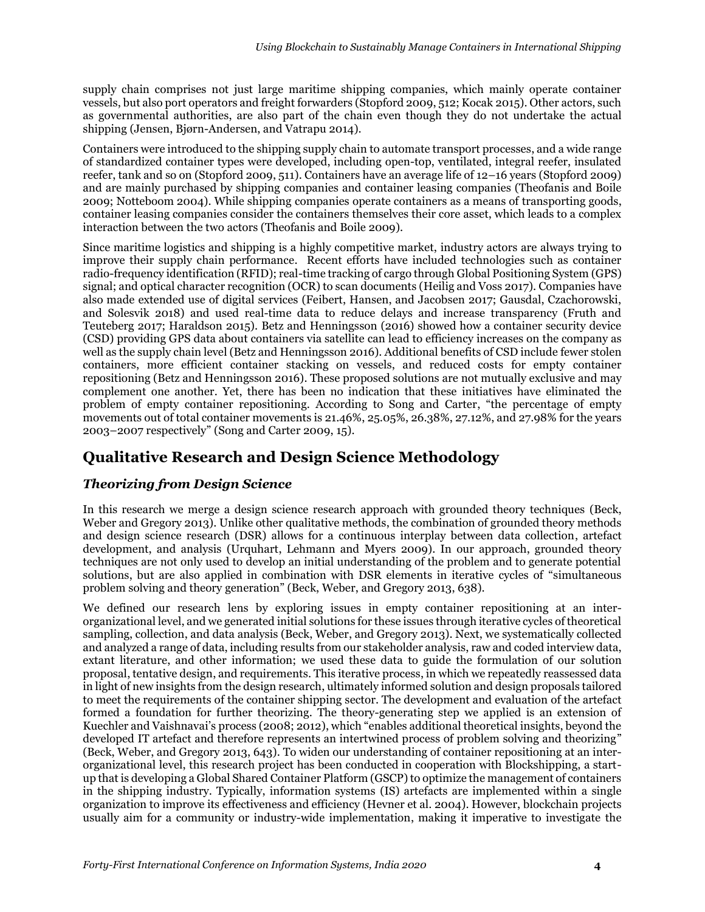supply chain comprises not just large maritime shipping companies, which mainly operate container vessels, but also port operators and freight forwarders (Stopford 2009, 512; Kocak 2015). Other actors, such as governmental authorities, are also part of the chain even though they do not undertake the actual shipping (Jensen, Bjørn-Andersen, and Vatrapu 2014).

Containers were introduced to the shipping supply chain to automate transport processes, and a wide range of standardized container types were developed, including open-top, ventilated, integral reefer, insulated reefer, tank and so on (Stopford 2009, 511). Containers have an average life of 12–16 years (Stopford 2009) and are mainly purchased by shipping companies and container leasing companies (Theofanis and Boile 2009; Notteboom 2004). While shipping companies operate containers as a means of transporting goods, container leasing companies consider the containers themselves their core asset, which leads to a complex interaction between the two actors (Theofanis and Boile 2009).

Since maritime logistics and shipping is a highly competitive market, industry actors are always trying to improve their supply chain performance. Recent efforts have included technologies such as container radio-frequency identification (RFID); real-time tracking of cargo through Global Positioning System (GPS) signal; and optical character recognition (OCR) to scan documents (Heilig and Voss 2017). Companies have also made extended use of digital services (Feibert, Hansen, and Jacobsen 2017; Gausdal, Czachorowski, and Solesvik 2018) and used real-time data to reduce delays and increase transparency (Fruth and Teuteberg 2017; Haraldson 2015). Betz and Henningsson (2016) showed how a container security device (CSD) providing GPS data about containers via satellite can lead to efficiency increases on the company as well as the supply chain level (Betz and Henningsson 2016). Additional benefits of CSD include fewer stolen containers, more efficient container stacking on vessels, and reduced costs for empty container repositioning (Betz and Henningsson 2016). These proposed solutions are not mutually exclusive and may complement one another. Yet, there has been no indication that these initiatives have eliminated the problem of empty container repositioning. According to Song and Carter, "the percentage of empty movements out of total container movements is 21.46%, 25.05%, 26.38%, 27.12%, and 27.98% for the years 2003–2007 respectively" (Song and Carter 2009, 15).

# **Qualitative Research and Design Science Methodology**

#### *Theorizing from Design Science*

In this research we merge a design science research approach with grounded theory techniques (Beck, Weber and Gregory 2013). Unlike other qualitative methods, the combination of grounded theory methods and design science research (DSR) allows for a continuous interplay between data collection, artefact development, and analysis (Urquhart, Lehmann and Myers 2009). In our approach, grounded theory techniques are not only used to develop an initial understanding of the problem and to generate potential solutions, but are also applied in combination with DSR elements in iterative cycles of "simultaneous problem solving and theory generation" (Beck, Weber, and Gregory 2013, 638).

We defined our research lens by exploring issues in empty container repositioning at an interorganizational level, and we generated initial solutions for these issues through iterative cycles of theoretical sampling, collection, and data analysis (Beck, Weber, and Gregory 2013). Next, we systematically collected and analyzed a range of data, including results from our stakeholder analysis, raw and coded interview data, extant literature, and other information; we used these data to guide the formulation of our solution proposal, tentative design, and requirements. This iterative process, in which we repeatedly reassessed data in light of new insights from the design research, ultimately informed solution and design proposals tailored to meet the requirements of the container shipping sector. The development and evaluation of the artefact formed a foundation for further theorizing. The theory-generating step we applied is an extension of Kuechler and Vaishnavai's process (2008; 2012), which "enables additional theoretical insights, beyond the developed IT artefact and therefore represents an intertwined process of problem solving and theorizing" (Beck, Weber, and Gregory 2013, 643). To widen our understanding of container repositioning at an interorganizational level, this research project has been conducted in cooperation with Blockshipping, a startup that is developing a Global Shared Container Platform (GSCP) to optimize the management of containers in the shipping industry. Typically, information systems (IS) artefacts are implemented within a single organization to improve its effectiveness and efficiency (Hevner et al. 2004). However, blockchain projects usually aim for a community or industry-wide implementation, making it imperative to investigate the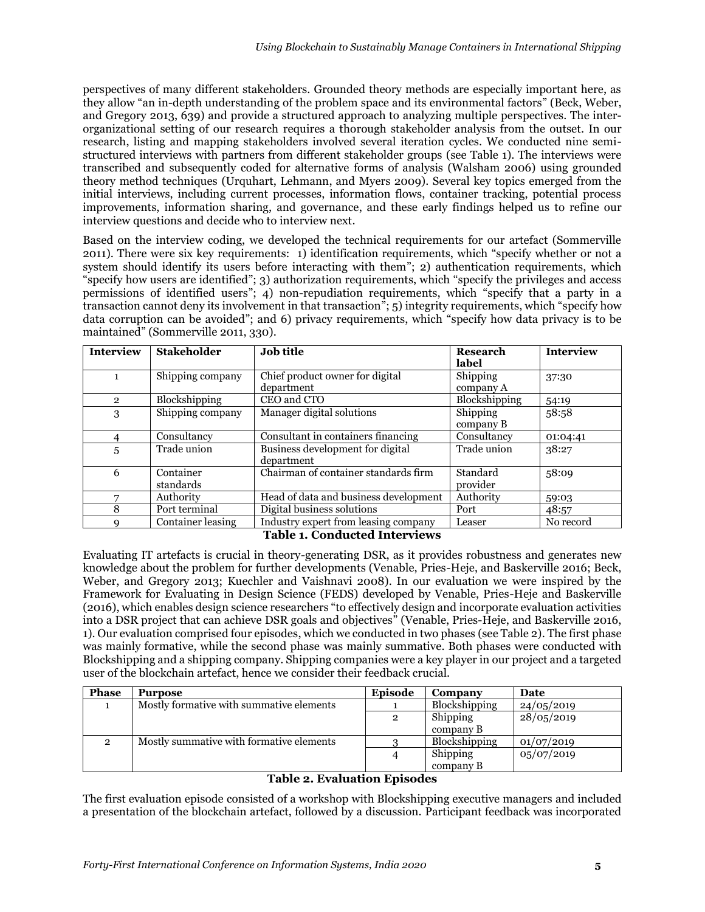perspectives of many different stakeholders. Grounded theory methods are especially important here, as they allow "an in-depth understanding of the problem space and its environmental factors" (Beck, Weber, and Gregory 2013, 639) and provide a structured approach to analyzing multiple perspectives. The interorganizational setting of our research requires a thorough stakeholder analysis from the outset. In our research, listing and mapping stakeholders involved several iteration cycles. We conducted nine semistructured interviews with partners from different stakeholder groups (see Table 1). The interviews were transcribed and subsequently coded for alternative forms of analysis (Walsham 2006) using grounded theory method techniques (Urquhart, Lehmann, and Myers 2009). Several key topics emerged from the initial interviews, including current processes, information flows, container tracking, potential process improvements, information sharing, and governance, and these early findings helped us to refine our interview questions and decide who to interview next.

Based on the interview coding, we developed the technical requirements for our artefact (Sommerville 2011). There were six key requirements: 1) identification requirements, which "specify whether or not a system should identify its users before interacting with them"; 2) authentication requirements, which "specify how users are identified"; 3) authorization requirements, which "specify the privileges and access permissions of identified users"; 4) non-repudiation requirements, which "specify that a party in a transaction cannot deny its involvement in that transaction"; 5) integrity requirements, which "specify how data corruption can be avoided"; and 6) privacy requirements, which "specify how data privacy is to be maintained" (Sommerville 2011, 330).

| <b>Interview</b> | <b>Stakeholder</b> | <b>Job title</b>                      | <b>Research</b>      | Interview |
|------------------|--------------------|---------------------------------------|----------------------|-----------|
|                  |                    |                                       | label                |           |
| 1                | Shipping company   | Chief product owner for digital       | Shipping             | 37:30     |
|                  |                    | department                            | company A            |           |
| $\overline{2}$   | Blockshipping      | CEO and CTO                           | <b>Blockshipping</b> | 54:19     |
| 3                | Shipping company   | Manager digital solutions             | Shipping             | 58:58     |
|                  |                    |                                       | company B            |           |
|                  | Consultancy        | Consultant in containers financing    | Consultancy          | 01:04:41  |
| 5                | Trade union        | Business development for digital      | Trade union          | 38:27     |
|                  |                    | department                            |                      |           |
| 6                | Container          | Chairman of container standards firm  | Standard             | 58:09     |
|                  | standards          |                                       | provider             |           |
|                  | Authority          | Head of data and business development | Authority            | 59:03     |
| 8                | Port terminal      | Digital business solutions            | Port                 | 48:57     |
|                  | Container leasing  | Industry expert from leasing company  | Leaser               | No record |

**Table 1. Conducted Interviews**

Evaluating IT artefacts is crucial in theory-generating DSR, as it provides robustness and generates new knowledge about the problem for further developments (Venable, Pries-Heje, and Baskerville 2016; Beck, Weber, and Gregory 2013; Kuechler and Vaishnavi 2008). In our evaluation we were inspired by the Framework for Evaluating in Design Science (FEDS) developed by Venable, Pries-Heje and Baskerville (2016), which enables design science researchers "to effectively design and incorporate evaluation activities into a DSR project that can achieve DSR goals and objectives" (Venable, Pries-Heje, and Baskerville 2016, 1). Our evaluation comprised four episodes, which we conducted in two phases (see Table 2). The first phase was mainly formative, while the second phase was mainly summative. Both phases were conducted with Blockshipping and a shipping company. Shipping companies were a key player in our project and a targeted user of the blockchain artefact, hence we consider their feedback crucial.

| Phase                       | <b>Purpose</b>                           | <b>Episode</b> | Company       | Date       |
|-----------------------------|------------------------------------------|----------------|---------------|------------|
|                             | Mostly formative with summative elements |                | Blockshipping | 24/05/2019 |
|                             |                                          |                | Shipping      | 28/05/2019 |
|                             |                                          |                | company B     |            |
|                             | Mostly summative with formative elements |                | Blockshipping | 01/07/2019 |
|                             |                                          |                | Shipping      | 05/07/2019 |
|                             |                                          |                | company B     |            |
| Teble a Eveluction Enicodes |                                          |                |               |            |

#### **Table 2. Evaluation Episodes**

The first evaluation episode consisted of a workshop with Blockshipping executive managers and included a presentation of the blockchain artefact, followed by a discussion. Participant feedback was incorporated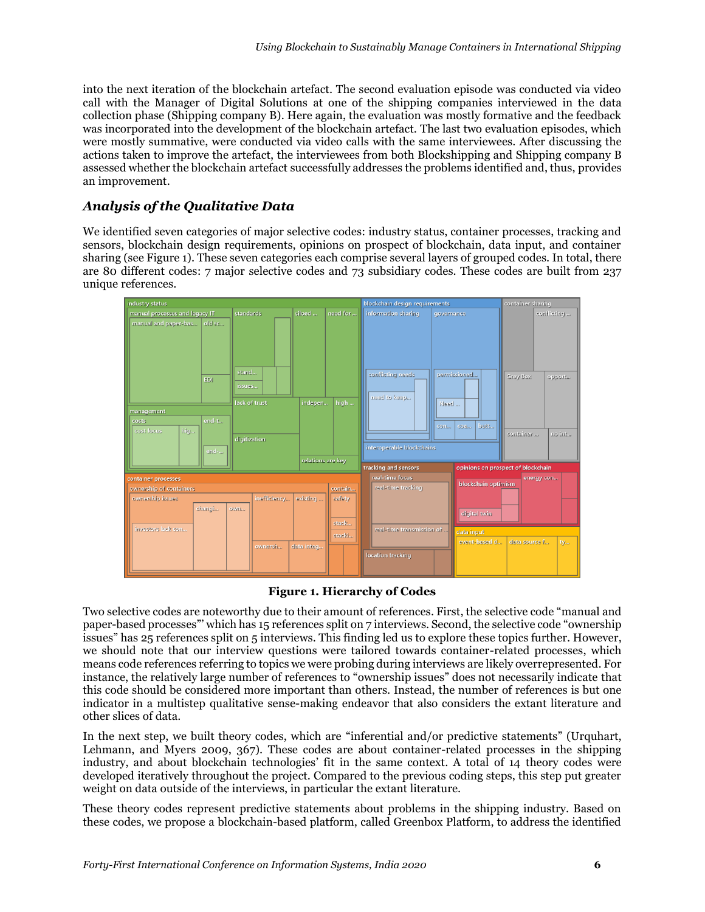into the next iteration of the blockchain artefact. The second evaluation episode was conducted via video call with the Manager of Digital Solutions at one of the shipping companies interviewed in the data collection phase (Shipping company B). Here again, the evaluation was mostly formative and the feedback was incorporated into the development of the blockchain artefact. The last two evaluation episodes, which were mostly summative, were conducted via video calls with the same interviewees. After discussing the actions taken to improve the artefact, the interviewees from both Blockshipping and Shipping company B assessed whether the blockchain artefact successfully addresses the problems identified and, thus, provides an improvement.

#### *Analysis of the Qualitative Data*

We identified seven categories of major selective codes: industry status, container processes, tracking and sensors, blockchain design requirements, opinions on prospect of blockchain, data input, and container sharing (see Figure 1). These seven categories each comprise several layers of grouped codes. In total, there are 80 different codes: 7 major selective codes and 73 subsidiary codes. These codes are built from 237 unique references.



#### **Figure 1. Hierarchy of Codes**

Two selective codes are noteworthy due to their amount of references. First, the selective code "manual and paper-based processes"' which has 15 references split on 7 interviews. Second, the selective code "ownership issues" has 25 references split on 5 interviews. This finding led us to explore these topics further. However, we should note that our interview questions were tailored towards container-related processes, which means code references referring to topics we were probing during interviews are likely overrepresented. For instance, the relatively large number of references to "ownership issues" does not necessarily indicate that this code should be considered more important than others. Instead, the number of references is but one indicator in a multistep qualitative sense-making endeavor that also considers the extant literature and other slices of data.

In the next step, we built theory codes, which are "inferential and/or predictive statements" (Urquhart, Lehmann, and Myers 2009, 367). These codes are about container-related processes in the shipping industry, and about blockchain technologies' fit in the same context. A total of 14 theory codes were developed iteratively throughout the project. Compared to the previous coding steps, this step put greater weight on data outside of the interviews, in particular the extant literature.

These theory codes represent predictive statements about problems in the shipping industry. Based on these codes, we propose a blockchain-based platform, called Greenbox Platform, to address the identified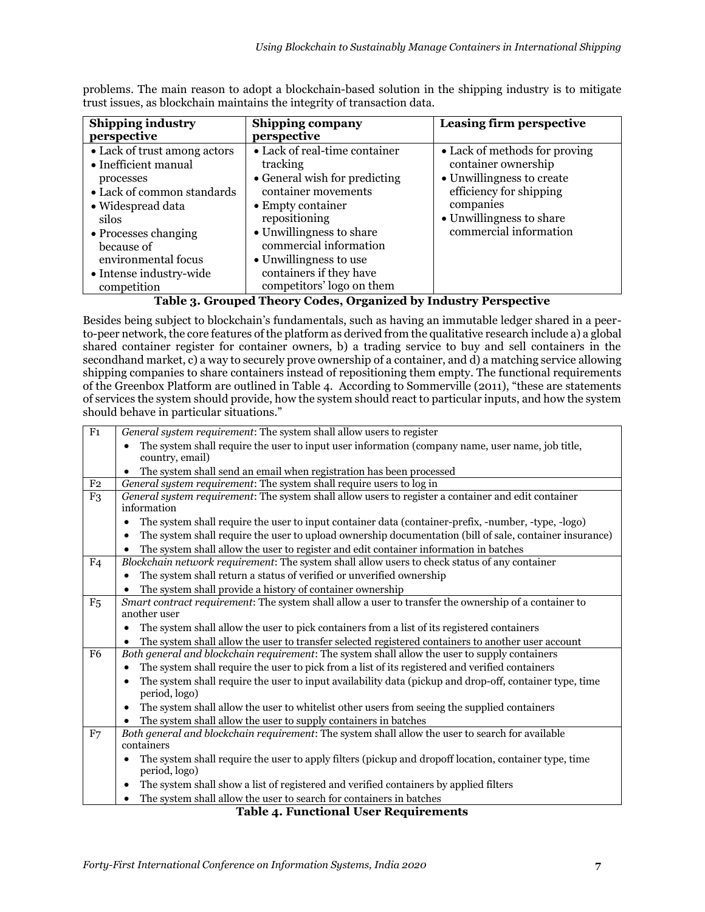| • Lack of real-time container<br>• Lack of trust among actors<br>tracking<br>• Inefficient manual<br>• General wish for predicting<br>processes<br>container movements<br>• Lack of common standards<br>• Empty container<br>• Widespread data<br>repositioning<br>silos<br>• Unwillingness to share<br>• Processes changing<br>commercial information<br>because of<br>environmental focus<br>• Unwillingness to use | Leasing firm perspective                                                                                                                                                        |
|-----------------------------------------------------------------------------------------------------------------------------------------------------------------------------------------------------------------------------------------------------------------------------------------------------------------------------------------------------------------------------------------------------------------------|---------------------------------------------------------------------------------------------------------------------------------------------------------------------------------|
| containers if they have<br>• Intense industry-wide<br>competitors' logo on them<br>competition                                                                                                                                                                                                                                                                                                                        | • Lack of methods for proving<br>container ownership<br>• Unwillingness to create<br>efficiency for shipping<br>companies<br>• Unwillingness to share<br>commercial information |

problems. The main reason to adopt a blockchain-based solution in the shipping industry is to mitigate trust issues, as blockchain maintains the integrity of transaction data.

**Table 3. Grouped Theory Codes, Organized by Industry Perspective**

Besides being subject to blockchain's fundamentals, such as having an immutable ledger shared in a peerto-peer network, the core features of the platform as derived from the qualitative research include a) a global shared container register for container owners, b) a trading service to buy and sell containers in the secondhand market, c) a way to securely prove ownership of a container, and d) a matching service allowing shipping companies to share containers instead of repositioning them empty. The functional requirements of the Greenbox Platform are outlined in Table 4. According to Sommerville (2011), "these are statements of services the system should provide, how the system should react to particular inputs, and how the system should behave in particular situations."

| $\overline{F1}$ | General system requirement: The system shall allow users to register                                            |  |  |  |
|-----------------|-----------------------------------------------------------------------------------------------------------------|--|--|--|
|                 | The system shall require the user to input user information (company name, user name, job title,                |  |  |  |
|                 | country, email)                                                                                                 |  |  |  |
|                 | The system shall send an email when registration has been processed                                             |  |  |  |
| F <sub>2</sub>  | General system requirement: The system shall require users to log in                                            |  |  |  |
| F <sub>3</sub>  | General system requirement: The system shall allow users to register a container and edit container             |  |  |  |
|                 | information                                                                                                     |  |  |  |
|                 | The system shall require the user to input container data (container-prefix, -number, -type, -logo)             |  |  |  |
|                 | The system shall require the user to upload ownership documentation (bill of sale, container insurance)         |  |  |  |
|                 | The system shall allow the user to register and edit container information in batches                           |  |  |  |
| F <sub>4</sub>  | Blockchain network requirement: The system shall allow users to check status of any container                   |  |  |  |
|                 | The system shall return a status of verified or unverified ownership                                            |  |  |  |
|                 | The system shall provide a history of container ownership                                                       |  |  |  |
| F <sub>5</sub>  | Smart contract requirement: The system shall allow a user to transfer the ownership of a container to           |  |  |  |
|                 | another user                                                                                                    |  |  |  |
|                 | The system shall allow the user to pick containers from a list of its registered containers<br>٠                |  |  |  |
|                 | The system shall allow the user to transfer selected registered containers to another user account<br>$\bullet$ |  |  |  |
| F <sub>6</sub>  | Both general and blockchain requirement: The system shall allow the user to supply containers                   |  |  |  |
|                 | The system shall require the user to pick from a list of its registered and verified containers<br>$\bullet$    |  |  |  |
|                 | The system shall require the user to input availability data (pickup and drop-off, container type, time         |  |  |  |
|                 | period, logo)                                                                                                   |  |  |  |
|                 | The system shall allow the user to whitelist other users from seeing the supplied containers                    |  |  |  |
|                 | The system shall allow the user to supply containers in batches                                                 |  |  |  |
| F7              | Both general and blockchain requirement: The system shall allow the user to search for available                |  |  |  |
|                 | containers                                                                                                      |  |  |  |
|                 | The system shall require the user to apply filters (pickup and dropoff location, container type, time           |  |  |  |
|                 | period, logo)                                                                                                   |  |  |  |
|                 | The system shall show a list of registered and verified containers by applied filters                           |  |  |  |
|                 | The system shall allow the user to search for containers in batches                                             |  |  |  |
|                 |                                                                                                                 |  |  |  |

**Table 4. Functional User Requirements**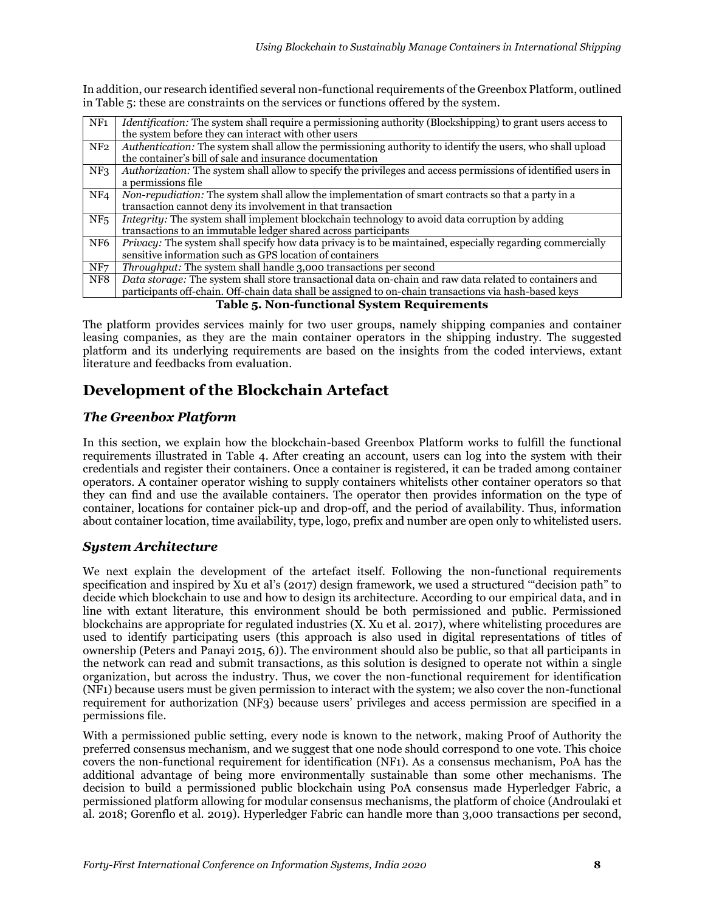In addition, our research identified several non-functional requirements of the Greenbox Platform, outlined in Table 5: these are constraints on the services or functions offered by the system.

| NF <sub>1</sub>                                 | <i>Identification:</i> The system shall require a permissioning authority (Blockshipping) to grant users access to |  |  |
|-------------------------------------------------|--------------------------------------------------------------------------------------------------------------------|--|--|
|                                                 | the system before they can interact with other users                                                               |  |  |
| NF <sub>2</sub>                                 | Authentication: The system shall allow the permissioning authority to identify the users, who shall upload         |  |  |
|                                                 | the container's bill of sale and insurance documentation                                                           |  |  |
| NF <sub>3</sub>                                 | Authorization: The system shall allow to specify the privileges and access permissions of identified users in      |  |  |
|                                                 | a permissions file                                                                                                 |  |  |
| NF <sub>4</sub>                                 | Non-repudiation: The system shall allow the implementation of smart contracts so that a party in a                 |  |  |
|                                                 | transaction cannot deny its involvement in that transaction                                                        |  |  |
| NF <sub>5</sub>                                 | Integrity: The system shall implement blockchain technology to avoid data corruption by adding                     |  |  |
|                                                 | transactions to an immutable ledger shared across participants                                                     |  |  |
| NF <sub>6</sub>                                 | Privacy: The system shall specify how data privacy is to be maintained, especially regarding commercially          |  |  |
|                                                 | sensitive information such as GPS location of containers                                                           |  |  |
| NF7                                             | <i>Throughput:</i> The system shall handle 3,000 transactions per second                                           |  |  |
| NF8                                             | Data storage: The system shall store transactional data on-chain and raw data related to containers and            |  |  |
|                                                 | participants off-chain. Off-chain data shall be assigned to on-chain transactions via hash-based keys              |  |  |
| Tekle = New functional Craters Decriptions anto |                                                                                                                    |  |  |

#### **Table 5. Non-functional System Requirements**

The platform provides services mainly for two user groups, namely shipping companies and container leasing companies, as they are the main container operators in the shipping industry. The suggested platform and its underlying requirements are based on the insights from the coded interviews, extant literature and feedbacks from evaluation.

# **Development of the Blockchain Artefact**

#### *The Greenbox Platform*

In this section, we explain how the blockchain-based Greenbox Platform works to fulfill the functional requirements illustrated in Table 4. After creating an account, users can log into the system with their credentials and register their containers. Once a container is registered, it can be traded among container operators. A container operator wishing to supply containers whitelists other container operators so that they can find and use the available containers. The operator then provides information on the type of container, locations for container pick-up and drop-off, and the period of availability. Thus, information about container location, time availability, type, logo, prefix and number are open only to whitelisted users.

#### *System Architecture*

We next explain the development of the artefact itself. Following the non-functional requirements specification and inspired by Xu et al's (2017) design framework, we used a structured '"decision path" to decide which blockchain to use and how to design its architecture. According to our empirical data, and in line with extant literature, this environment should be both permissioned and public. Permissioned blockchains are appropriate for regulated industries (X. Xu et al. 2017), where whitelisting procedures are used to identify participating users (this approach is also used in digital representations of titles of ownership (Peters and Panayi 2015, 6)). The environment should also be public, so that all participants in the network can read and submit transactions, as this solution is designed to operate not within a single organization, but across the industry. Thus, we cover the non-functional requirement for identification (NF1) because users must be given permission to interact with the system; we also cover the non-functional requirement for authorization (NF3) because users' privileges and access permission are specified in a permissions file.

With a permissioned public setting, every node is known to the network, making Proof of Authority the preferred consensus mechanism, and we suggest that one node should correspond to one vote. This choice covers the non-functional requirement for identification (NF1). As a consensus mechanism, PoA has the additional advantage of being more environmentally sustainable than some other mechanisms. The decision to build a permissioned public blockchain using PoA consensus made Hyperledger Fabric, a permissioned platform allowing for modular consensus mechanisms, the platform of choice (Androulaki et al. 2018; Gorenflo et al. 2019). Hyperledger Fabric can handle more than 3,000 transactions per second,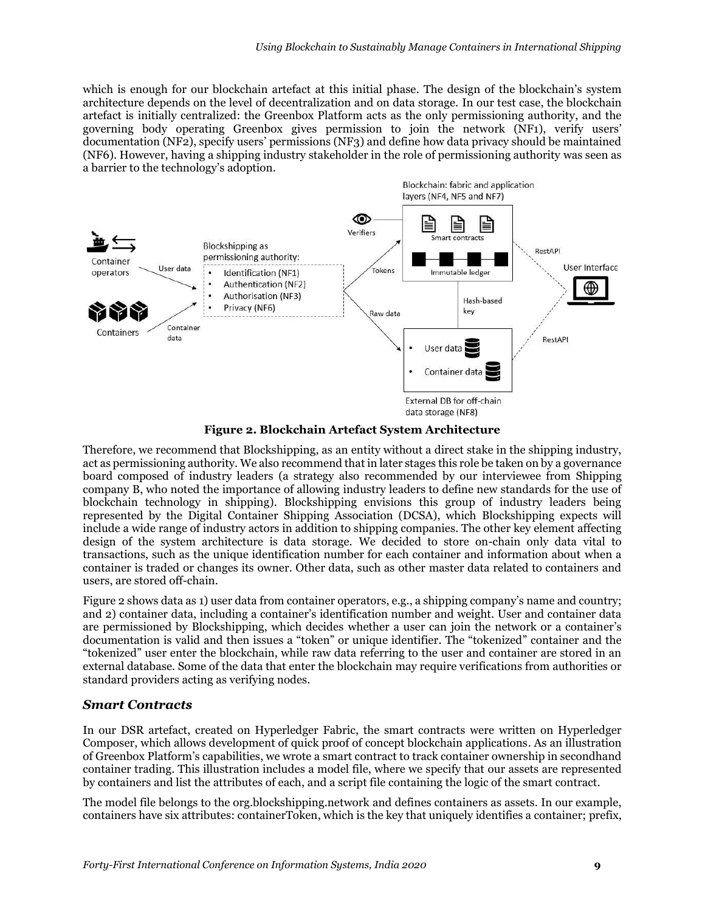which is enough for our blockchain artefact at this initial phase. The design of the blockchain's system architecture depends on the level of decentralization and on data storage. In our test case, the blockchain artefact is initially centralized: the Greenbox Platform acts as the only permissioning authority, and the governing body operating Greenbox gives permission to join the network (NF1), verify users' documentation (NF2), specify users' permissions (NF3) and define how data privacy should be maintained (NF6). However, having a shipping industry stakeholder in the role of permissioning authority was seen as a barrier to the technology's adoption.



**Figure 2. Blockchain Artefact System Architecture**

Therefore, we recommend that Blockshipping, as an entity without a direct stake in the shipping industry, act as permissioning authority. We also recommend that in later stages this role be taken on by a governance board composed of industry leaders (a strategy also recommended by our interviewee from Shipping company B, who noted the importance of allowing industry leaders to define new standards for the use of blockchain technology in shipping). Blockshipping envisions this group of industry leaders being represented by the Digital Container Shipping Association (DCSA), which Blockshipping expects will include a wide range of industry actors in addition to shipping companies. The other key element affecting design of the system architecture is data storage. We decided to store on-chain only data vital to transactions, such as the unique identification number for each container and information about when a container is traded or changes its owner. Other data, such as other master data related to containers and users, are stored off-chain.

Figure 2 shows data as 1) user data from container operators, e.g., a shipping company's name and country; and 2) container data, including a container's identification number and weight. User and container data are permissioned by Blockshipping, which decides whether a user can join the network or a container's documentation is valid and then issues a "token" or unique identifier. The "tokenized" container and the "tokenized" user enter the blockchain, while raw data referring to the user and container are stored in an external database. Some of the data that enter the blockchain may require verifications from authorities or standard providers acting as verifying nodes.

#### *Smart Contracts*

In our DSR artefact, created on Hyperledger Fabric, the smart contracts were written on Hyperledger Composer, which allows development of quick proof of concept blockchain applications. As an illustration of Greenbox Platform's capabilities, we wrote a smart contract to track container ownership in secondhand container trading. This illustration includes a model file, where we specify that our assets are represented by containers and list the attributes of each, and a script file containing the logic of the smart contract.

The model file belongs to the org.blockshipping.network and defines containers as assets. In our example, containers have six attributes: containerToken, which is the key that uniquely identifies a container; prefix,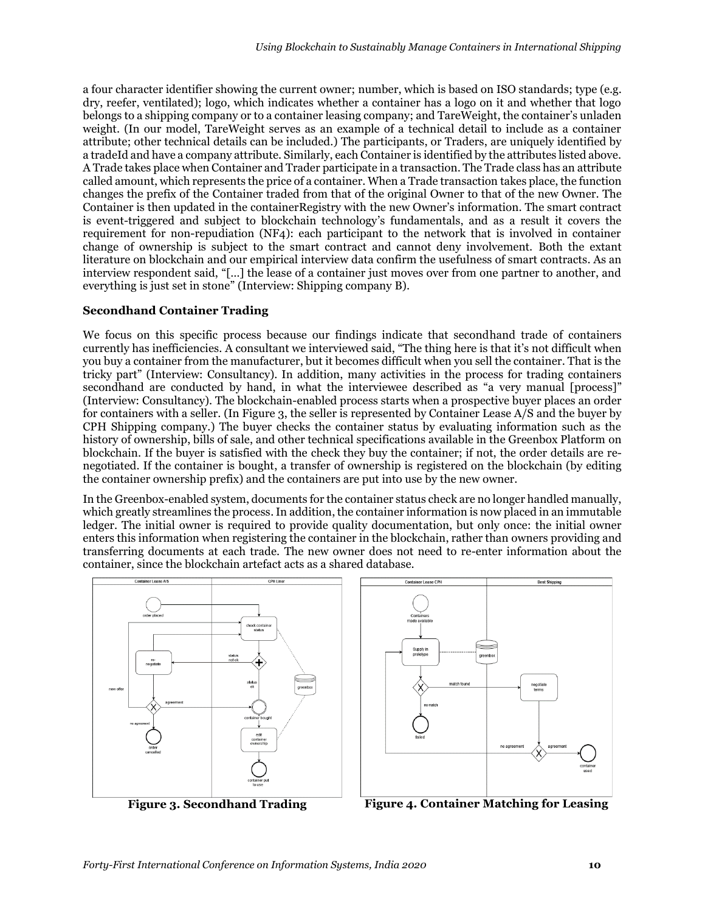a four character identifier showing the current owner; number, which is based on ISO standards; type (e.g. dry, reefer, ventilated); logo, which indicates whether a container has a logo on it and whether that logo belongs to a shipping company or to a container leasing company; and TareWeight, the container's unladen weight. (In our model, TareWeight serves as an example of a technical detail to include as a container attribute; other technical details can be included.) The participants, or Traders, are uniquely identified by a tradeId and have a company attribute. Similarly, each Container is identified by the attributes listed above. A Trade takes place when Container and Trader participate in a transaction. The Trade class has an attribute called amount, which represents the price of a container. When a Trade transaction takes place, the function changes the prefix of the Container traded from that of the original Owner to that of the new Owner. The Container is then updated in the containerRegistry with the new Owner's information. The smart contract is event-triggered and subject to blockchain technology's fundamentals, and as a result it covers the requirement for non-repudiation (NF4): each participant to the network that is involved in container change of ownership is subject to the smart contract and cannot deny involvement. Both the extant literature on blockchain and our empirical interview data confirm the usefulness of smart contracts. As an interview respondent said, "[…] the lease of a container just moves over from one partner to another, and everything is just set in stone" (Interview: Shipping company B).

#### **Secondhand Container Trading**

We focus on this specific process because our findings indicate that secondhand trade of containers currently has inefficiencies. A consultant we interviewed said, "The thing here is that it's not difficult when you buy a container from the manufacturer, but it becomes difficult when you sell the container. That is the tricky part" (Interview: Consultancy). In addition, many activities in the process for trading containers secondhand are conducted by hand, in what the interviewee described as "a very manual [process]" (Interview: Consultancy). The blockchain-enabled process starts when a prospective buyer places an order for containers with a seller. (In Figure 3, the seller is represented by Container Lease A/S and the buyer by CPH Shipping company.) The buyer checks the container status by evaluating information such as the history of ownership, bills of sale, and other technical specifications available in the Greenbox Platform on blockchain. If the buyer is satisfied with the check they buy the container; if not, the order details are renegotiated. If the container is bought, a transfer of ownership is registered on the blockchain (by editing the container ownership prefix) and the containers are put into use by the new owner.

In the Greenbox-enabled system, documents for the container status check are no longer handled manually, which greatly streamlines the process. In addition, the container information is now placed in an immutable ledger. The initial owner is required to provide quality documentation, but only once: the initial owner enters this information when registering the container in the blockchain, rather than owners providing and transferring documents at each trade. The new owner does not need to re-enter information about the container, since the blockchain artefact acts as a shared database.





**Figure 3. Secondhand Trading Figure 4. Container Matching for Leasing**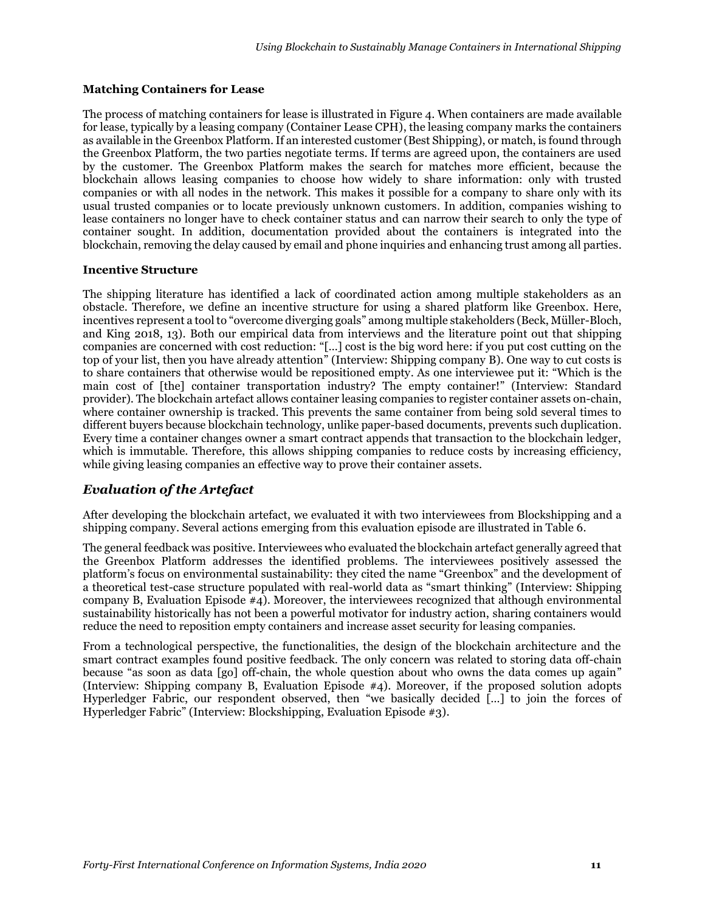#### **Matching Containers for Lease**

The process of matching containers for lease is illustrated in Figure 4. When containers are made available for lease, typically by a leasing company (Container Lease CPH), the leasing company marks the containers as available in the Greenbox Platform. If an interested customer (Best Shipping), or match, is found through the Greenbox Platform, the two parties negotiate terms. If terms are agreed upon, the containers are used by the customer. The Greenbox Platform makes the search for matches more efficient, because the blockchain allows leasing companies to choose how widely to share information: only with trusted companies or with all nodes in the network. This makes it possible for a company to share only with its usual trusted companies or to locate previously unknown customers. In addition, companies wishing to lease containers no longer have to check container status and can narrow their search to only the type of container sought. In addition, documentation provided about the containers is integrated into the blockchain, removing the delay caused by email and phone inquiries and enhancing trust among all parties.

#### **Incentive Structure**

The shipping literature has identified a lack of coordinated action among multiple stakeholders as an obstacle. Therefore, we define an incentive structure for using a shared platform like Greenbox. Here, incentives represent a tool to "overcome diverging goals" among multiple stakeholders (Beck, Müller-Bloch, and King 2018, 13). Both our empirical data from interviews and the literature point out that shipping companies are concerned with cost reduction: "[…] cost is the big word here: if you put cost cutting on the top of your list, then you have already attention" (Interview: Shipping company B). One way to cut costs is to share containers that otherwise would be repositioned empty. As one interviewee put it: "Which is the main cost of [the] container transportation industry? The empty container!" (Interview: Standard provider). The blockchain artefact allows container leasing companies to register container assets on-chain, where container ownership is tracked. This prevents the same container from being sold several times to different buyers because blockchain technology, unlike paper-based documents, prevents such duplication. Every time a container changes owner a smart contract appends that transaction to the blockchain ledger, which is immutable. Therefore, this allows shipping companies to reduce costs by increasing efficiency, while giving leasing companies an effective way to prove their container assets.

#### *Evaluation of the Artefact*

After developing the blockchain artefact, we evaluated it with two interviewees from Blockshipping and a shipping company. Several actions emerging from this evaluation episode are illustrated in Table 6.

The general feedback was positive. Interviewees who evaluated the blockchain artefact generally agreed that the Greenbox Platform addresses the identified problems. The interviewees positively assessed the platform's focus on environmental sustainability: they cited the name "Greenbox" and the development of a theoretical test-case structure populated with real-world data as "smart thinking" (Interview: Shipping company B, Evaluation Episode #4). Moreover, the interviewees recognized that although environmental sustainability historically has not been a powerful motivator for industry action, sharing containers would reduce the need to reposition empty containers and increase asset security for leasing companies.

From a technological perspective, the functionalities, the design of the blockchain architecture and the smart contract examples found positive feedback. The only concern was related to storing data off-chain because "as soon as data [go] off-chain, the whole question about who owns the data comes up again" (Interview: Shipping company B, Evaluation Episode #4). Moreover, if the proposed solution adopts Hyperledger Fabric, our respondent observed, then "we basically decided [...] to join the forces of Hyperledger Fabric" (Interview: Blockshipping, Evaluation Episode #3).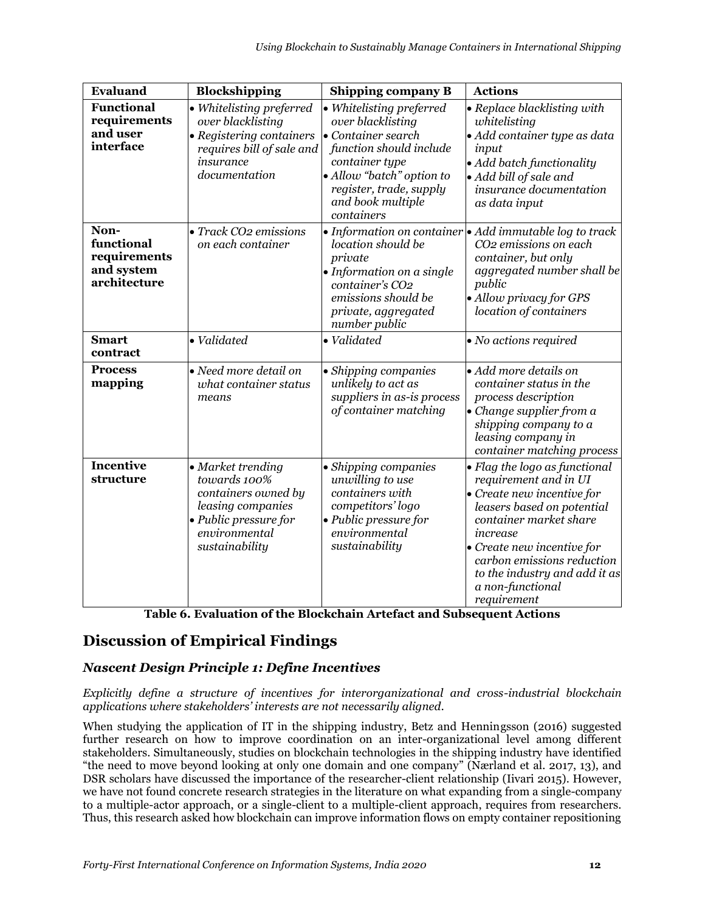| Evaluand                                                         | Blockshipping                                                                                                                             | Shipping company B                                                                                                                                                                                                  | <b>Actions</b>                                                                                                                                                                                                                                                                                           |
|------------------------------------------------------------------|-------------------------------------------------------------------------------------------------------------------------------------------|---------------------------------------------------------------------------------------------------------------------------------------------------------------------------------------------------------------------|----------------------------------------------------------------------------------------------------------------------------------------------------------------------------------------------------------------------------------------------------------------------------------------------------------|
| <b>Functional</b><br>requirements<br>and user<br>interface       | · Whitelisting preferred<br>over blacklisting<br>• Registering containers<br>requires bill of sale and<br>insurance<br>documentation      | • Whitelisting preferred<br>over blacklisting<br>$\bullet$ Container search<br>function should include<br>container type<br>· Allow "batch" option to<br>register, trade, supply<br>and book multiple<br>containers | • Replace blacklisting with<br>whitelisting<br>· Add container type as data<br>input<br>• Add batch functionality<br>• Add bill of sale and<br>insurance documentation<br>as data input                                                                                                                  |
| Non-<br>functional<br>requirements<br>and system<br>architecture | • Track CO2 emissions<br>on each container                                                                                                | location should be<br>private<br>• Information on a single<br>container's CO2<br>emissions should be<br>private, aggregated<br>number public                                                                        | • Information on container $\bullet$ Add immutable log to track<br>CO2 emissions on each<br>container, but only<br>aggregated number shall be<br>public<br>· Allow privacy for GPS<br>location of containers                                                                                             |
| <b>Smart</b><br>contract                                         | · Validated                                                                                                                               | · Validated                                                                                                                                                                                                         | • No actions required                                                                                                                                                                                                                                                                                    |
| <b>Process</b><br>mapping                                        | • Need more detail on<br>what container status<br>means                                                                                   | • Shipping companies<br>unlikely to act as<br>suppliers in as-is process<br>of container matching                                                                                                                   | $\bullet$ Add more details on<br>container status in the<br>process description<br>• Change supplier from a<br>shipping company to a<br>leasing company in<br>container matching process                                                                                                                 |
| <b>Incentive</b><br>structure                                    | • Market trending<br>towards 100%<br>containers owned by<br>leasing companies<br>• Public pressure for<br>environmental<br>sustainability | • Shipping companies<br>unwilling to use<br>containers with<br>competitors' logo<br>• Public pressure for<br>environmental<br>sustainability                                                                        | • Flag the logo as functional<br>requirement and in UI<br>$\bullet$ Create new incentive for<br>leasers based on potential<br>container market share<br>increase<br>$\bullet$ Create new incentive for<br>carbon emissions reduction<br>to the industry and add it as<br>a non-functional<br>requirement |

**Table 6. Evaluation of the Blockchain Artefact and Subsequent Actions**

# **Discussion of Empirical Findings**

## *Nascent Design Principle 1: Define Incentives*

*Explicitly define a structure of incentives for interorganizational and cross-industrial blockchain applications where stakeholders' interests are not necessarily aligned.*

When studying the application of IT in the shipping industry, Betz and Henningsson (2016) suggested further research on how to improve coordination on an inter-organizational level among different stakeholders. Simultaneously, studies on blockchain technologies in the shipping industry have identified "the need to move beyond looking at only one domain and one company" (Nærland et al. 2017, 13), and DSR scholars have discussed the importance of the researcher-client relationship (Iivari 2015). However, we have not found concrete research strategies in the literature on what expanding from a single-company to a multiple-actor approach, or a single-client to a multiple-client approach, requires from researchers. Thus, this research asked how blockchain can improve information flows on empty container repositioning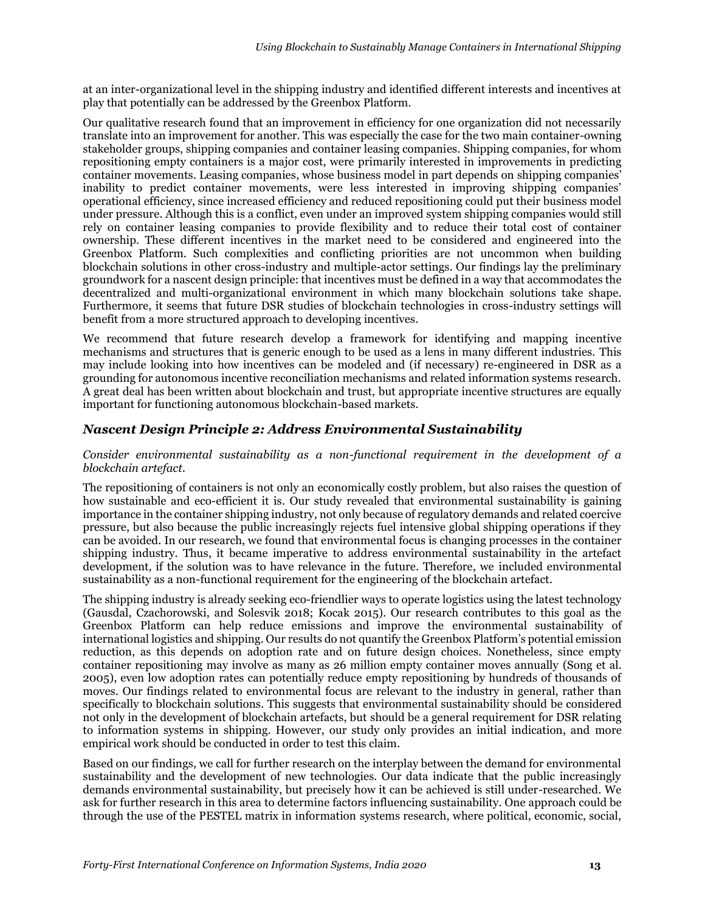at an inter-organizational level in the shipping industry and identified different interests and incentives at play that potentially can be addressed by the Greenbox Platform.

Our qualitative research found that an improvement in efficiency for one organization did not necessarily translate into an improvement for another. This was especially the case for the two main container-owning stakeholder groups, shipping companies and container leasing companies. Shipping companies, for whom repositioning empty containers is a major cost, were primarily interested in improvements in predicting container movements. Leasing companies, whose business model in part depends on shipping companies' inability to predict container movements, were less interested in improving shipping companies' operational efficiency, since increased efficiency and reduced repositioning could put their business model under pressure. Although this is a conflict, even under an improved system shipping companies would still rely on container leasing companies to provide flexibility and to reduce their total cost of container ownership. These different incentives in the market need to be considered and engineered into the Greenbox Platform. Such complexities and conflicting priorities are not uncommon when building blockchain solutions in other cross-industry and multiple-actor settings. Our findings lay the preliminary groundwork for a nascent design principle: that incentives must be defined in a way that accommodates the decentralized and multi-organizational environment in which many blockchain solutions take shape. Furthermore, it seems that future DSR studies of blockchain technologies in cross-industry settings will benefit from a more structured approach to developing incentives.

We recommend that future research develop a framework for identifying and mapping incentive mechanisms and structures that is generic enough to be used as a lens in many different industries. This may include looking into how incentives can be modeled and (if necessary) re-engineered in DSR as a grounding for autonomous incentive reconciliation mechanisms and related information systems research. A great deal has been written about blockchain and trust, but appropriate incentive structures are equally important for functioning autonomous blockchain-based markets.

#### *Nascent Design Principle 2: Address Environmental Sustainability*

#### *Consider environmental sustainability as a non-functional requirement in the development of a blockchain artefact.*

The repositioning of containers is not only an economically costly problem, but also raises the question of how sustainable and eco-efficient it is. Our study revealed that environmental sustainability is gaining importance in the container shipping industry, not only because of regulatory demands and related coercive pressure, but also because the public increasingly rejects fuel intensive global shipping operations if they can be avoided. In our research, we found that environmental focus is changing processes in the container shipping industry. Thus, it became imperative to address environmental sustainability in the artefact development, if the solution was to have relevance in the future. Therefore, we included environmental sustainability as a non-functional requirement for the engineering of the blockchain artefact.

The shipping industry is already seeking eco-friendlier ways to operate logistics using the latest technology (Gausdal, Czachorowski, and Solesvik 2018; Kocak 2015). Our research contributes to this goal as the Greenbox Platform can help reduce emissions and improve the environmental sustainability of international logistics and shipping. Our results do not quantify the Greenbox Platform's potential emission reduction, as this depends on adoption rate and on future design choices. Nonetheless, since empty container repositioning may involve as many as 26 million empty container moves annually (Song et al. 2005), even low adoption rates can potentially reduce empty repositioning by hundreds of thousands of moves. Our findings related to environmental focus are relevant to the industry in general, rather than specifically to blockchain solutions. This suggests that environmental sustainability should be considered not only in the development of blockchain artefacts, but should be a general requirement for DSR relating to information systems in shipping. However, our study only provides an initial indication, and more empirical work should be conducted in order to test this claim.

Based on our findings, we call for further research on the interplay between the demand for environmental sustainability and the development of new technologies. Our data indicate that the public increasingly demands environmental sustainability, but precisely how it can be achieved is still under-researched. We ask for further research in this area to determine factors influencing sustainability. One approach could be through the use of the PESTEL matrix in information systems research, where political, economic, social,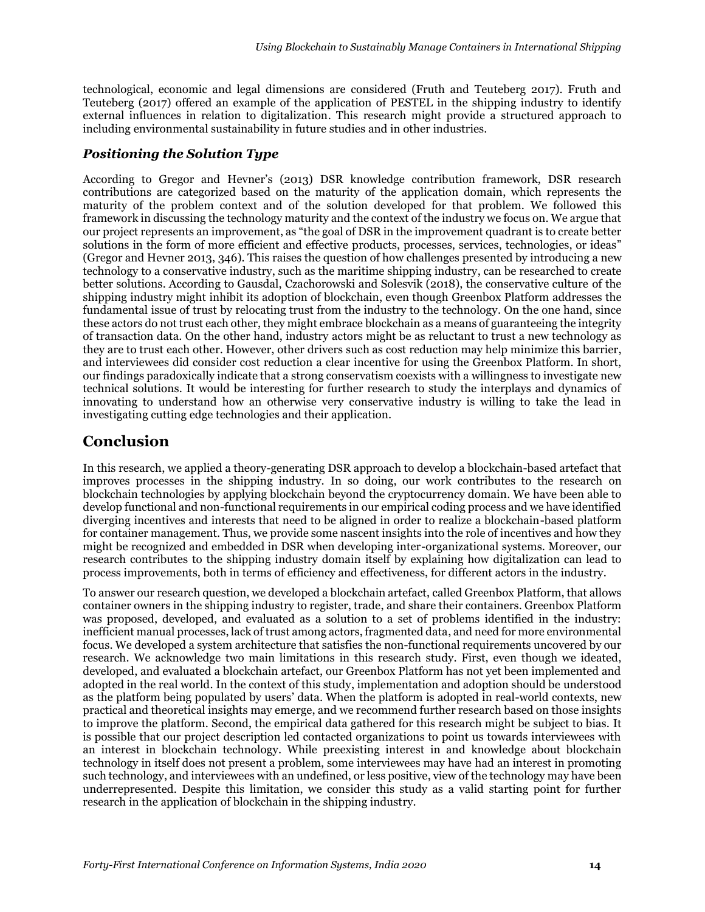technological, economic and legal dimensions are considered (Fruth and Teuteberg 2017). Fruth and Teuteberg (2017) offered an example of the application of PESTEL in the shipping industry to identify external influences in relation to digitalization. This research might provide a structured approach to including environmental sustainability in future studies and in other industries.

#### *Positioning the Solution Type*

According to Gregor and Hevner's (2013) DSR knowledge contribution framework, DSR research contributions are categorized based on the maturity of the application domain, which represents the maturity of the problem context and of the solution developed for that problem. We followed this framework in discussing the technology maturity and the context of the industry we focus on. We argue that our project represents an improvement, as "the goal of DSR in the improvement quadrant is to create better solutions in the form of more efficient and effective products, processes, services, technologies, or ideas" (Gregor and Hevner 2013, 346). This raises the question of how challenges presented by introducing a new technology to a conservative industry, such as the maritime shipping industry, can be researched to create better solutions. According to Gausdal, Czachorowski and Solesvik (2018), the conservative culture of the shipping industry might inhibit its adoption of blockchain, even though Greenbox Platform addresses the fundamental issue of trust by relocating trust from the industry to the technology. On the one hand, since these actors do not trust each other, they might embrace blockchain as a means of guaranteeing the integrity of transaction data. On the other hand, industry actors might be as reluctant to trust a new technology as they are to trust each other. However, other drivers such as cost reduction may help minimize this barrier, and interviewees did consider cost reduction a clear incentive for using the Greenbox Platform. In short, our findings paradoxically indicate that a strong conservatism coexists with a willingness to investigate new technical solutions. It would be interesting for further research to study the interplays and dynamics of innovating to understand how an otherwise very conservative industry is willing to take the lead in investigating cutting edge technologies and their application.

# **Conclusion**

In this research, we applied a theory-generating DSR approach to develop a blockchain-based artefact that improves processes in the shipping industry. In so doing, our work contributes to the research on blockchain technologies by applying blockchain beyond the cryptocurrency domain. We have been able to develop functional and non-functional requirements in our empirical coding process and we have identified diverging incentives and interests that need to be aligned in order to realize a blockchain-based platform for container management. Thus, we provide some nascent insights into the role of incentives and how they might be recognized and embedded in DSR when developing inter-organizational systems. Moreover, our research contributes to the shipping industry domain itself by explaining how digitalization can lead to process improvements, both in terms of efficiency and effectiveness, for different actors in the industry.

To answer our research question, we developed a blockchain artefact, called Greenbox Platform, that allows container owners in the shipping industry to register, trade, and share their containers. Greenbox Platform was proposed, developed, and evaluated as a solution to a set of problems identified in the industry: inefficient manual processes, lack of trust among actors, fragmented data, and need for more environmental focus. We developed a system architecture that satisfies the non-functional requirements uncovered by our research. We acknowledge two main limitations in this research study. First, even though we ideated, developed, and evaluated a blockchain artefact, our Greenbox Platform has not yet been implemented and adopted in the real world. In the context of this study, implementation and adoption should be understood as the platform being populated by users' data. When the platform is adopted in real-world contexts, new practical and theoretical insights may emerge, and we recommend further research based on those insights to improve the platform. Second, the empirical data gathered for this research might be subject to bias. It is possible that our project description led contacted organizations to point us towards interviewees with an interest in blockchain technology. While preexisting interest in and knowledge about blockchain technology in itself does not present a problem, some interviewees may have had an interest in promoting such technology, and interviewees with an undefined, or less positive, view of the technology may have been underrepresented. Despite this limitation, we consider this study as a valid starting point for further research in the application of blockchain in the shipping industry.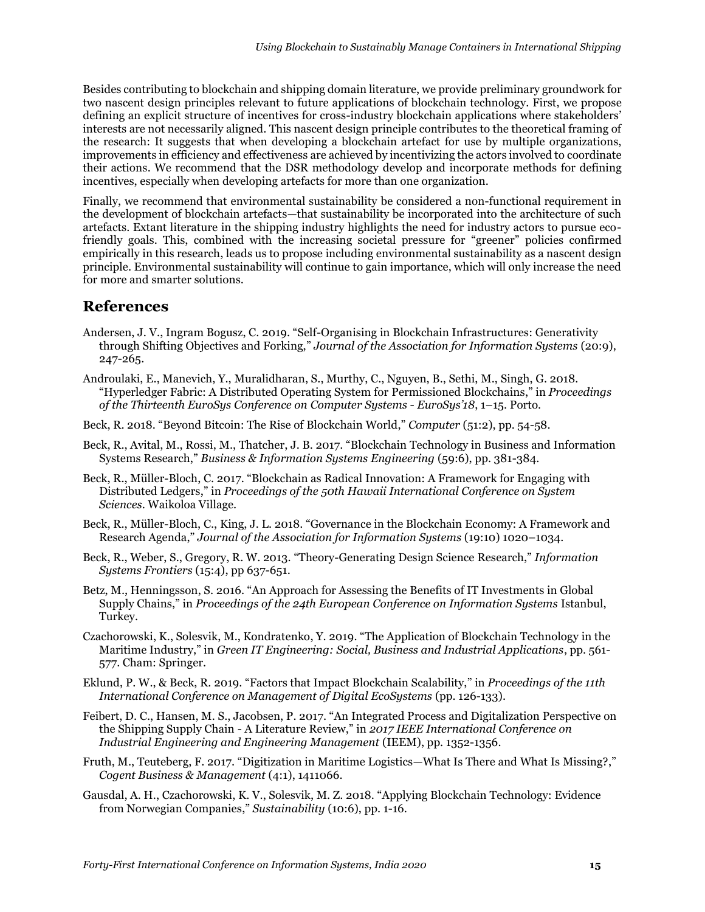Besides contributing to blockchain and shipping domain literature, we provide preliminary groundwork for two nascent design principles relevant to future applications of blockchain technology. First, we propose defining an explicit structure of incentives for cross-industry blockchain applications where stakeholders' interests are not necessarily aligned. This nascent design principle contributes to the theoretical framing of the research: It suggests that when developing a blockchain artefact for use by multiple organizations, improvements in efficiency and effectiveness are achieved by incentivizing the actors involved to coordinate their actions. We recommend that the DSR methodology develop and incorporate methods for defining incentives, especially when developing artefacts for more than one organization.

Finally, we recommend that environmental sustainability be considered a non-functional requirement in the development of blockchain artefacts—that sustainability be incorporated into the architecture of such artefacts. Extant literature in the shipping industry highlights the need for industry actors to pursue ecofriendly goals. This, combined with the increasing societal pressure for "greener" policies confirmed empirically in this research, leads us to propose including environmental sustainability as a nascent design principle. Environmental sustainability will continue to gain importance, which will only increase the need for more and smarter solutions.

# **References**

- Andersen, J. V., Ingram Bogusz, C. 2019. "Self-Organising in Blockchain Infrastructures: Generativity through Shifting Objectives and Forking," *Journal of the Association for Information Systems* (20:9), 247-265.
- Androulaki, E., Manevich, Y., Muralidharan, S., Murthy, C., Nguyen, B., Sethi, M., Singh, G. 2018. "Hyperledger Fabric: A Distributed Operating System for Permissioned Blockchains," in *Proceedings of the Thirteenth EuroSys Conference on Computer Systems - EuroSys'18*, 1–15. Porto.
- Beck, R. 2018. "Beyond Bitcoin: The Rise of Blockchain World," *Computer* (51:2), pp. 54-58.
- Beck, R., Avital, M., Rossi, M., Thatcher, J. B. 2017. "Blockchain Technology in Business and Information Systems Research," *Business & Information Systems Engineering* (59:6), pp. 381-384.
- Beck, R., Müller-Bloch, C. 2017. "Blockchain as Radical Innovation: A Framework for Engaging with Distributed Ledgers," in *Proceedings of the 50th Hawaii International Conference on System Sciences*. Waikoloa Village.
- Beck, R., Müller-Bloch, C., King, J. L. 2018. "Governance in the Blockchain Economy: A Framework and Research Agenda," *Journal of the Association for Information Systems* (19:10) 1020–1034.
- Beck, R., Weber, S., Gregory, R. W. 2013. "Theory-Generating Design Science Research," *Information Systems Frontiers* (15:4), pp 637-651.
- Betz, M., Henningsson, S. 2016. "An Approach for Assessing the Benefits of IT Investments in Global Supply Chains," in *Proceedings of the 24th European Conference on Information Systems* Istanbul, Turkey.
- Czachorowski, K., Solesvik, M., Kondratenko, Y. 2019. "The Application of Blockchain Technology in the Maritime Industry," in *Green IT Engineering: Social, Business and Industrial Applications*, pp. 561- 577. Cham: Springer.
- Eklund, P. W., & Beck, R. 2019. "Factors that Impact Blockchain Scalability," in *Proceedings of the 11th International Conference on Management of Digital EcoSystems* (pp. 126-133).
- Feibert, D. C., Hansen, M. S., Jacobsen, P. 2017. "An Integrated Process and Digitalization Perspective on the Shipping Supply Chain - A Literature Review," in *2017 IEEE International Conference on Industrial Engineering and Engineering Management* (IEEM), pp. 1352-1356.
- Fruth, M., Teuteberg, F. 2017. "Digitization in Maritime Logistics—What Is There and What Is Missing?," *Cogent Business & Management* (4:1), 1411066.
- Gausdal, A. H., Czachorowski, K. V., Solesvik, M. Z. 2018. "Applying Blockchain Technology: Evidence from Norwegian Companies," *Sustainability* (10:6), pp. 1-16.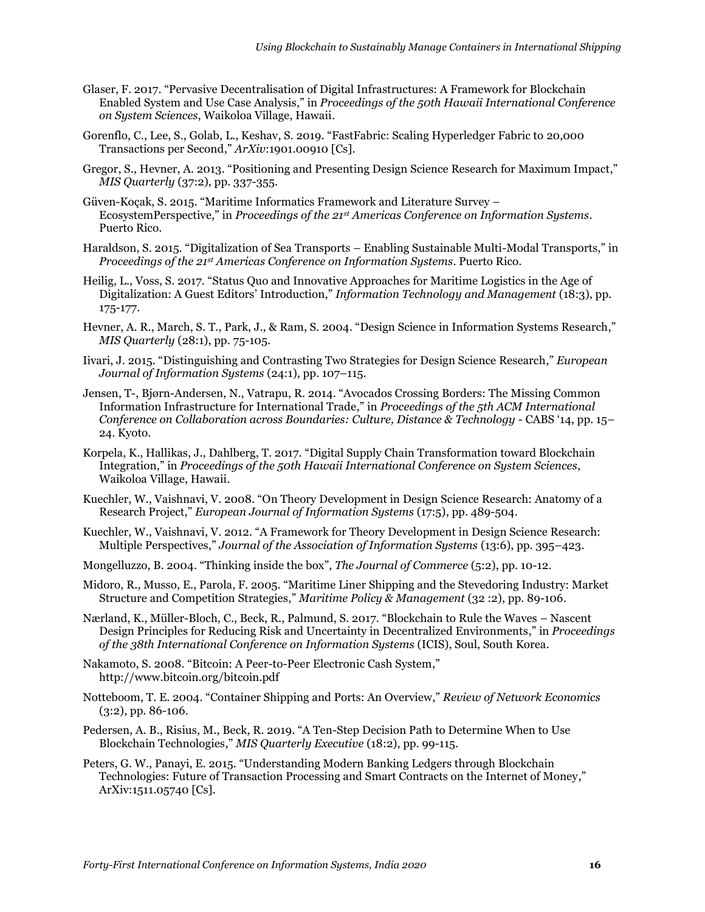- Glaser, F. 2017. "Pervasive Decentralisation of Digital Infrastructures: A Framework for Blockchain Enabled System and Use Case Analysis," in *Proceedings of the 50th Hawaii International Conference on System Sciences*, Waikoloa Village, Hawaii.
- Gorenflo, C., Lee, S., Golab, L., Keshav, S. 2019. "FastFabric: Scaling Hyperledger Fabric to 20,000 Transactions per Second," *ArXiv*:1901.00910 [Cs].
- Gregor, S., Hevner, A. 2013. "Positioning and Presenting Design Science Research for Maximum Impact," *MIS Quarterly* (37:2), pp. 337-355.
- Güven-Koçak, S. 2015. "Maritime Informatics Framework and Literature Survey EcosystemPerspective," in *Proceedings of the 21st Americas Conference on Information Systems*. Puerto Rico.
- Haraldson, S. 2015. "Digitalization of Sea Transports Enabling Sustainable Multi-Modal Transports," in *Proceedings of the 21st Americas Conference on Information Systems*. Puerto Rico.
- Heilig, L., Voss, S. 2017. "Status Quo and Innovative Approaches for Maritime Logistics in the Age of Digitalization: A Guest Editors' Introduction," *Information Technology and Management* (18:3), pp. 175-177.
- Hevner, A. R., March, S. T., Park, J., & Ram, S. 2004. "Design Science in Information Systems Research," *MIS Quarterly* (28:1), pp. 75-105.
- Iivari, J. 2015. "Distinguishing and Contrasting Two Strategies for Design Science Research," *European Journal of Information Systems* (24:1), pp. 107–115.
- Jensen, T-, Bjørn-Andersen, N., Vatrapu, R. 2014. "Avocados Crossing Borders: The Missing Common Information Infrastructure for International Trade," in *Proceedings of the 5th ACM International Conference on Collaboration across Boundaries: Culture, Distance & Technology* - CABS '14, pp. 15– 24. Kyoto.
- Korpela, K., Hallikas, J., Dahlberg, T. 2017. "Digital Supply Chain Transformation toward Blockchain Integration," in *Proceedings of the 50th Hawaii International Conference on System Sciences*, Waikoloa Village, Hawaii.
- Kuechler, W., Vaishnavi, V. 2008. "On Theory Development in Design Science Research: Anatomy of a Research Project," *European Journal of Information Systems* (17:5), pp. 489-504.
- Kuechler, W., Vaishnavi, V. 2012. "A Framework for Theory Development in Design Science Research: Multiple Perspectives," *Journal of the Association of Information Systems* (13:6), pp. 395–423.
- Mongelluzzo, B. 2004. "Thinking inside the box", *The Journal of Commerce* (5:2), pp. 10-12.
- Midoro, R., Musso, E., Parola, F. 2005. "Maritime Liner Shipping and the Stevedoring Industry: Market Structure and Competition Strategies," *Maritime Policy & Management* (32 :2), pp. 89-106.
- Nærland, K., Müller-Bloch, C., Beck, R., Palmund, S. 2017. "Blockchain to Rule the Waves Nascent Design Principles for Reducing Risk and Uncertainty in Decentralized Environments," in *Proceedings of the 38th International Conference on Information Systems* (ICIS), Soul, South Korea.
- Nakamoto, S. 2008. "Bitcoin: A Peer-to-Peer Electronic Cash System," http://www.bitcoin.org/bitcoin.pdf
- Notteboom, T. E. 2004. "Container Shipping and Ports: An Overview," *Review of Network Economics* (3:2), pp. 86-106.
- Pedersen, A. B., Risius, M., Beck, R. 2019. "A Ten-Step Decision Path to Determine When to Use Blockchain Technologies," *MIS Quarterly Executive* (18:2), pp. 99-115.
- Peters, G. W., Panayi, E. 2015. "Understanding Modern Banking Ledgers through Blockchain Technologies: Future of Transaction Processing and Smart Contracts on the Internet of Money," ArXiv:1511.05740 [Cs].